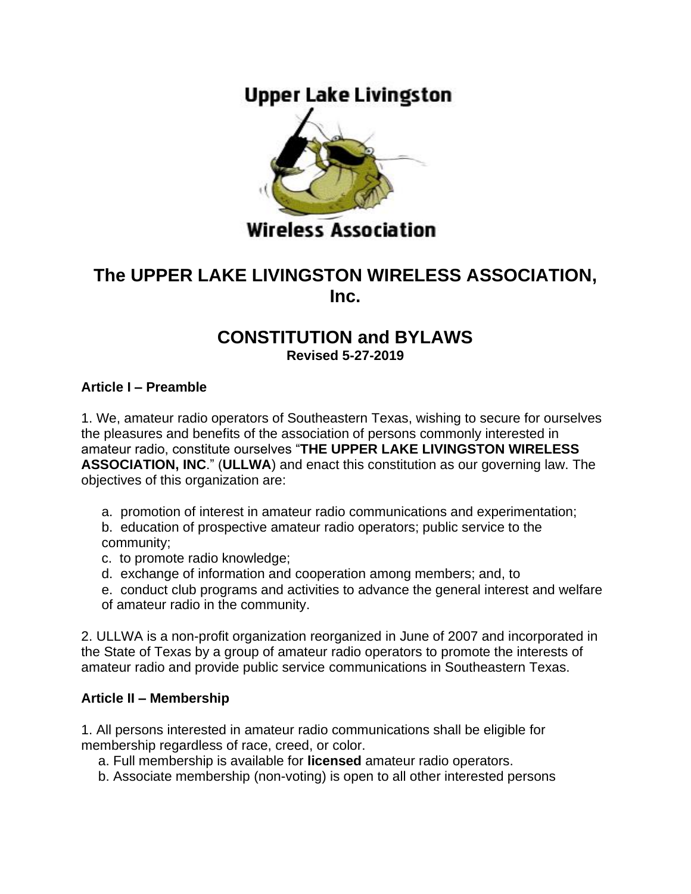# **Upper Lake Livingston**



## **Wireless Association**

## **The UPPER LAKE LIVINGSTON WIRELESS ASSOCIATION, Inc.**

#### **CONSTITUTION and BYLAWS Revised 5-27-2019**

#### **Article I – Preamble**

1. We, amateur radio operators of Southeastern Texas, wishing to secure for ourselves the pleasures and benefits of the association of persons commonly interested in amateur radio, constitute ourselves "**THE UPPER LAKE LIVINGSTON WIRELESS ASSOCIATION, INC**." (**ULLWA**) and enact this constitution as our governing law. The objectives of this organization are:

a. promotion of interest in amateur radio communications and experimentation;

b. education of prospective amateur radio operators; public service to the community;

- c. to promote radio knowledge;
- d. exchange of information and cooperation among members; and, to
- e. conduct club programs and activities to advance the general interest and welfare of amateur radio in the community.

2. ULLWA is a non-profit organization reorganized in June of 2007 and incorporated in the State of Texas by a group of amateur radio operators to promote the interests of amateur radio and provide public service communications in Southeastern Texas.

#### **Article II – Membership**

1. All persons interested in amateur radio communications shall be eligible for membership regardless of race, creed, or color.

a. Full membership is available for **licensed** amateur radio operators.

b. Associate membership (non-voting) is open to all other interested persons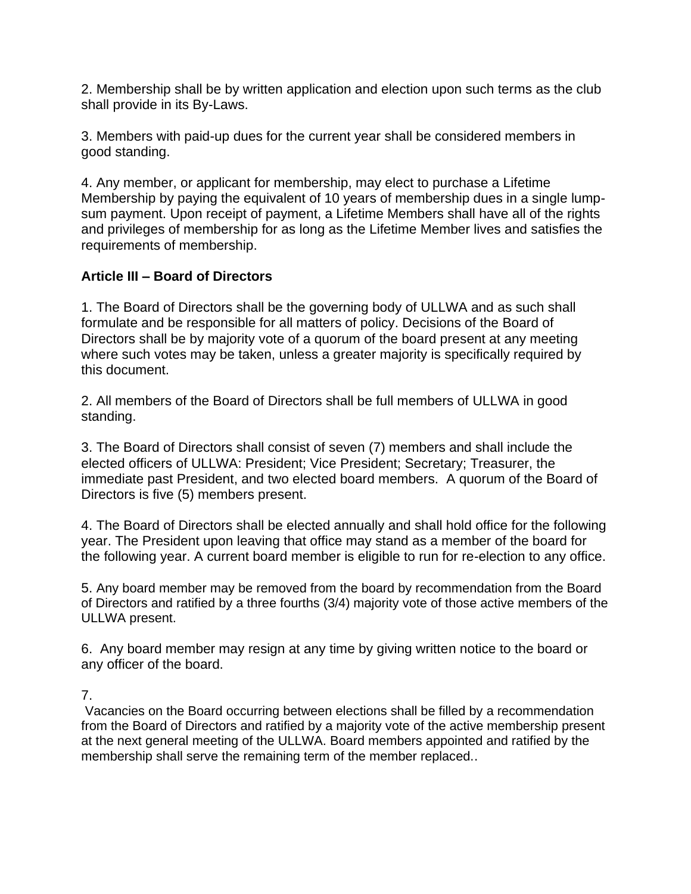2. Membership shall be by written application and election upon such terms as the club shall provide in its By-Laws.

3. Members with paid-up dues for the current year shall be considered members in good standing.

4. Any member, or applicant for membership, may elect to purchase a Lifetime Membership by paying the equivalent of 10 years of membership dues in a single lumpsum payment. Upon receipt of payment, a Lifetime Members shall have all of the rights and privileges of membership for as long as the Lifetime Member lives and satisfies the requirements of membership.

## **Article III – Board of Directors**

1. The Board of Directors shall be the governing body of ULLWA and as such shall formulate and be responsible for all matters of policy. Decisions of the Board of Directors shall be by majority vote of a quorum of the board present at any meeting where such votes may be taken, unless a greater majority is specifically required by this document.

2. All members of the Board of Directors shall be full members of ULLWA in good standing.

3. The Board of Directors shall consist of seven (7) members and shall include the elected officers of ULLWA: President; Vice President; Secretary; Treasurer, the immediate past President, and two elected board members. A quorum of the Board of Directors is five (5) members present.

4. The Board of Directors shall be elected annually and shall hold office for the following year. The President upon leaving that office may stand as a member of the board for the following year. A current board member is eligible to run for re-election to any office.

5. Any board member may be removed from the board by recommendation from the Board of Directors and ratified by a three fourths (3/4) majority vote of those active members of the ULLWA present.

6. Any board member may resign at any time by giving written notice to the board or any officer of the board.

#### 7.

Vacancies on the Board occurring between elections shall be filled by a recommendation from the Board of Directors and ratified by a majority vote of the active membership present at the next general meeting of the ULLWA. Board members appointed and ratified by the membership shall serve the remaining term of the member replaced..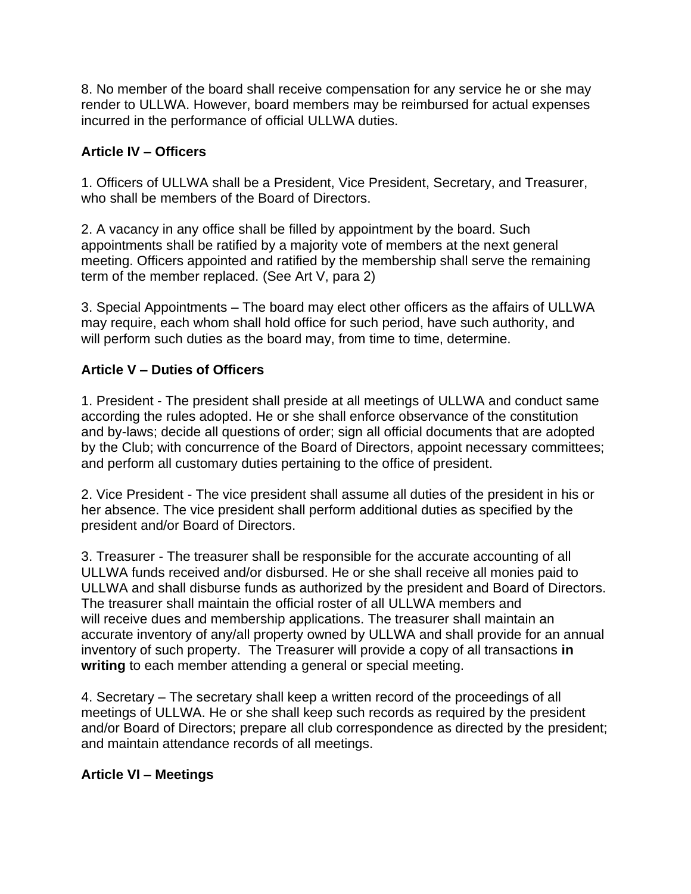8. No member of the board shall receive compensation for any service he or she may render to ULLWA. However, board members may be reimbursed for actual expenses incurred in the performance of official ULLWA duties.

#### **Article IV – Officers**

1. Officers of ULLWA shall be a President, Vice President, Secretary, and Treasurer, who shall be members of the Board of Directors.

2. A vacancy in any office shall be filled by appointment by the board. Such appointments shall be ratified by a majority vote of members at the next general meeting. Officers appointed and ratified by the membership shall serve the remaining term of the member replaced. (See Art V, para 2)

3. Special Appointments – The board may elect other officers as the affairs of ULLWA may require, each whom shall hold office for such period, have such authority, and will perform such duties as the board may, from time to time, determine.

#### **Article V – Duties of Officers**

1. President - The president shall preside at all meetings of ULLWA and conduct same according the rules adopted. He or she shall enforce observance of the constitution and by-laws; decide all questions of order; sign all official documents that are adopted by the Club; with concurrence of the Board of Directors, appoint necessary committees; and perform all customary duties pertaining to the office of president.

2. Vice President - The vice president shall assume all duties of the president in his or her absence. The vice president shall perform additional duties as specified by the president and/or Board of Directors.

3. Treasurer - The treasurer shall be responsible for the accurate accounting of all ULLWA funds received and/or disbursed. He or she shall receive all monies paid to ULLWA and shall disburse funds as authorized by the president and Board of Directors. The treasurer shall maintain the official roster of all ULLWA members and will receive dues and membership applications. The treasurer shall maintain an accurate inventory of any/all property owned by ULLWA and shall provide for an annual inventory of such property. The Treasurer will provide a copy of all transactions **in writing** to each member attending a general or special meeting.

4. Secretary – The secretary shall keep a written record of the proceedings of all meetings of ULLWA. He or she shall keep such records as required by the president and/or Board of Directors; prepare all club correspondence as directed by the president; and maintain attendance records of all meetings.

#### **Article VI – Meetings**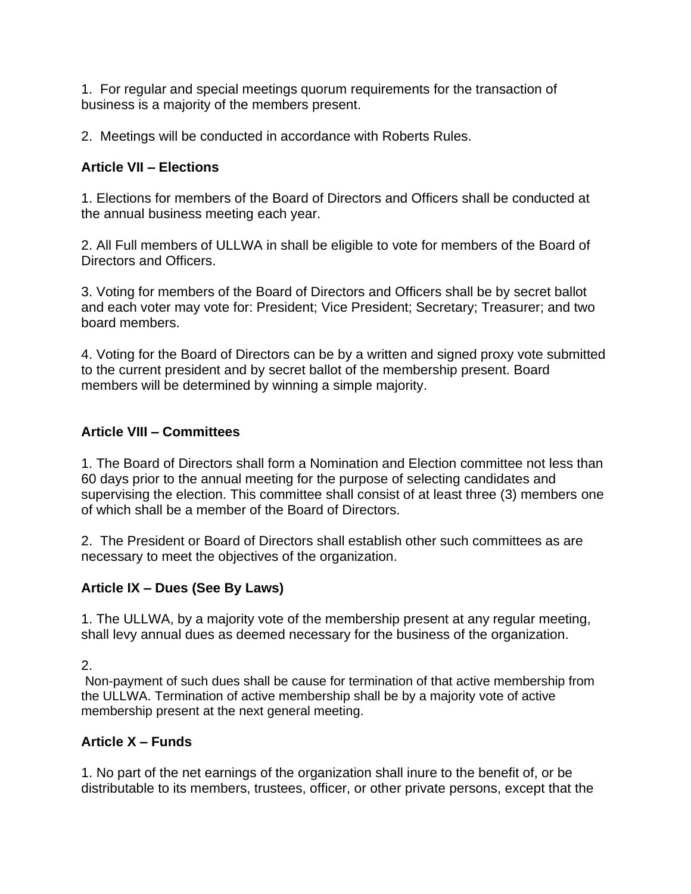1. For regular and special meetings quorum requirements for the transaction of business is a majority of the members present.

2. Meetings will be conducted in accordance with Roberts Rules.

## **Article VII – Elections**

1. Elections for members of the Board of Directors and Officers shall be conducted at the annual business meeting each year.

2. All Full members of ULLWA in shall be eligible to vote for members of the Board of Directors and Officers.

3. Voting for members of the Board of Directors and Officers shall be by secret ballot and each voter may vote for: President; Vice President; Secretary; Treasurer; and two board members.

4. Voting for the Board of Directors can be by a written and signed proxy vote submitted to the current president and by secret ballot of the membership present. Board members will be determined by winning a simple majority.

## **Article VIII – Committees**

1. The Board of Directors shall form a Nomination and Election committee not less than 60 days prior to the annual meeting for the purpose of selecting candidates and supervising the election. This committee shall consist of at least three (3) members one of which shall be a member of the Board of Directors.

2. The President or Board of Directors shall establish other such committees as are necessary to meet the objectives of the organization.

## **Article IX – Dues (See By Laws)**

1. The ULLWA, by a majority vote of the membership present at any regular meeting, shall levy annual dues as deemed necessary for the business of the organization.

2.

Non-payment of such dues shall be cause for termination of that active membership from the ULLWA. Termination of active membership shall be by a majority vote of active membership present at the next general meeting.

## **Article X – Funds**

1. No part of the net earnings of the organization shall inure to the benefit of, or be distributable to its members, trustees, officer, or other private persons, except that the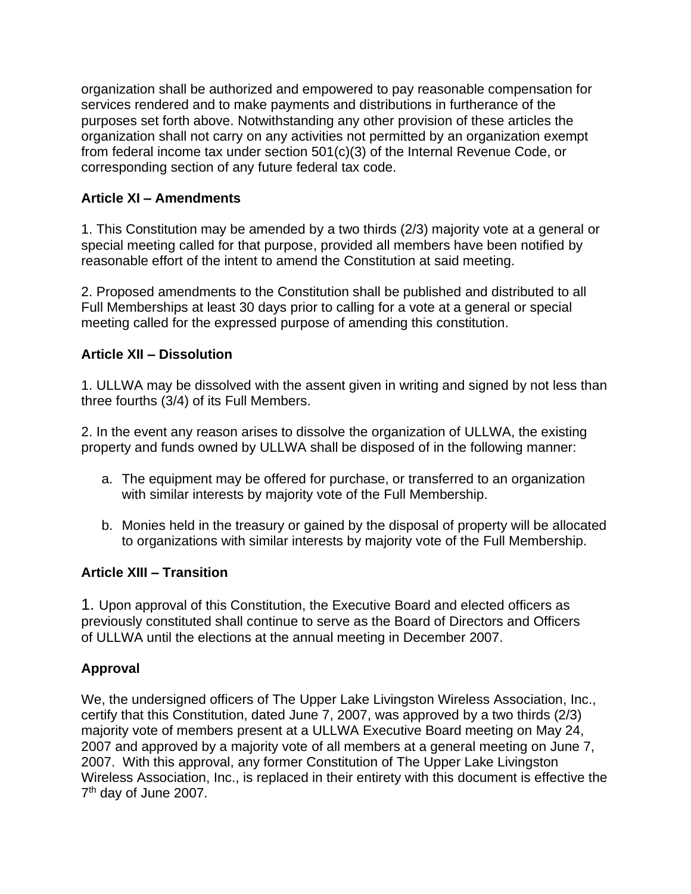organization shall be authorized and empowered to pay reasonable compensation for services rendered and to make payments and distributions in furtherance of the purposes set forth above. Notwithstanding any other provision of these articles the organization shall not carry on any activities not permitted by an organization exempt from federal income tax under section 501(c)(3) of the Internal Revenue Code, or corresponding section of any future federal tax code.

#### **Article XI – Amendments**

1. This Constitution may be amended by a two thirds (2/3) majority vote at a general or special meeting called for that purpose, provided all members have been notified by reasonable effort of the intent to amend the Constitution at said meeting.

2. Proposed amendments to the Constitution shall be published and distributed to all Full Memberships at least 30 days prior to calling for a vote at a general or special meeting called for the expressed purpose of amending this constitution.

#### **Article XII – Dissolution**

1. ULLWA may be dissolved with the assent given in writing and signed by not less than three fourths (3/4) of its Full Members.

2. In the event any reason arises to dissolve the organization of ULLWA, the existing property and funds owned by ULLWA shall be disposed of in the following manner:

- a. The equipment may be offered for purchase, or transferred to an organization with similar interests by majority vote of the Full Membership.
- b. Monies held in the treasury or gained by the disposal of property will be allocated to organizations with similar interests by majority vote of the Full Membership.

## **Article XIII – Transition**

1. Upon approval of this Constitution, the Executive Board and elected officers as previously constituted shall continue to serve as the Board of Directors and Officers of ULLWA until the elections at the annual meeting in December 2007.

## **Approval**

We, the undersigned officers of The Upper Lake Livingston Wireless Association, Inc., certify that this Constitution, dated June 7, 2007, was approved by a two thirds (2/3) majority vote of members present at a ULLWA Executive Board meeting on May 24, 2007 and approved by a majority vote of all members at a general meeting on June 7, 2007. With this approval, any former Constitution of The Upper Lake Livingston Wireless Association, Inc., is replaced in their entirety with this document is effective the 7<sup>th</sup> day of June 2007.